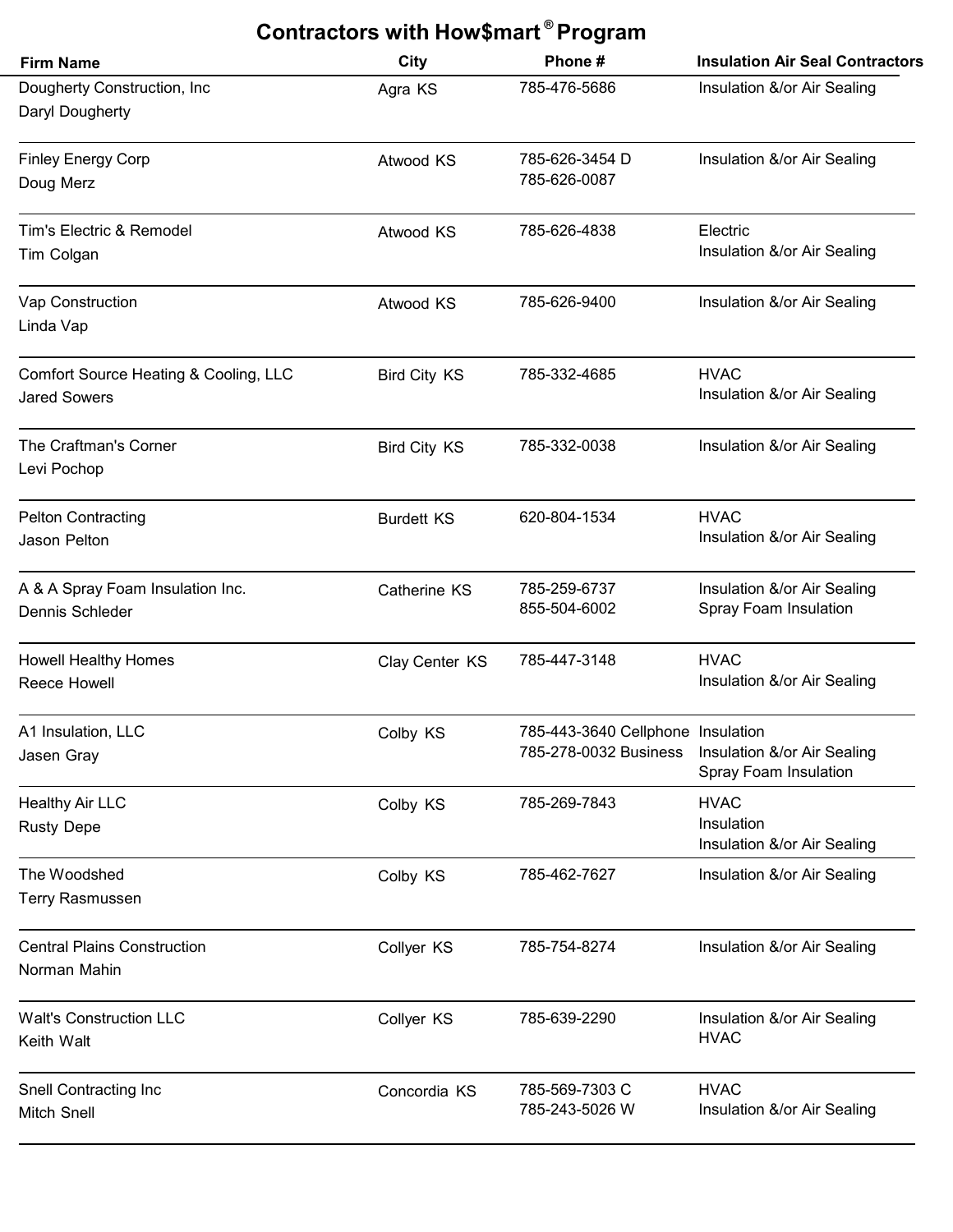| Contractors with How\$mart <sup>®</sup> Program              |                     |                                                            |                                                          |  |
|--------------------------------------------------------------|---------------------|------------------------------------------------------------|----------------------------------------------------------|--|
| <b>Firm Name</b>                                             | <b>City</b>         | Phone#                                                     | <b>Insulation Air Seal Contractors</b>                   |  |
| Dougherty Construction, Inc<br>Daryl Dougherty               | Agra KS             | 785-476-5686                                               | Insulation &/or Air Sealing                              |  |
| <b>Finley Energy Corp</b><br>Doug Merz                       | Atwood KS           | 785-626-3454 D<br>785-626-0087                             | Insulation &/or Air Sealing                              |  |
| Tim's Electric & Remodel<br>Tim Colgan                       | Atwood KS           | 785-626-4838                                               | Electric<br>Insulation &/or Air Sealing                  |  |
| Vap Construction<br>Linda Vap                                | Atwood KS           | 785-626-9400                                               | Insulation &/or Air Sealing                              |  |
| Comfort Source Heating & Cooling, LLC<br><b>Jared Sowers</b> | <b>Bird City KS</b> | 785-332-4685                                               | <b>HVAC</b><br>Insulation &/or Air Sealing               |  |
| The Craftman's Corner<br>Levi Pochop                         | <b>Bird City KS</b> | 785-332-0038                                               | Insulation &/or Air Sealing                              |  |
| <b>Pelton Contracting</b><br>Jason Pelton                    | <b>Burdett KS</b>   | 620-804-1534                                               | <b>HVAC</b><br>Insulation &/or Air Sealing               |  |
| A & A Spray Foam Insulation Inc.<br>Dennis Schleder          | Catherine KS        | 785-259-6737<br>855-504-6002                               | Insulation &/or Air Sealing<br>Spray Foam Insulation     |  |
| <b>Howell Healthy Homes</b><br>Reece Howell                  | Clay Center KS      | 785-447-3148                                               | <b>HVAC</b><br>Insulation &/or Air Sealing               |  |
| A1 Insulation, LLC<br>Jasen Gray                             | Colby KS            | 785-443-3640 Cellphone Insulation<br>785-278-0032 Business | Insulation &/or Air Sealing<br>Spray Foam Insulation     |  |
| <b>Healthy Air LLC</b><br><b>Rusty Depe</b>                  | Colby KS            | 785-269-7843                                               | <b>HVAC</b><br>Insulation<br>Insulation &/or Air Sealing |  |
| The Woodshed<br>Terry Rasmussen                              | Colby KS            | 785-462-7627                                               | Insulation &/or Air Sealing                              |  |
| <b>Central Plains Construction</b><br>Norman Mahin           | Collyer KS          | 785-754-8274                                               | Insulation &/or Air Sealing                              |  |
| <b>Walt's Construction LLC</b><br>Keith Walt                 | Collyer KS          | 785-639-2290                                               | Insulation &/or Air Sealing<br><b>HVAC</b>               |  |
| Snell Contracting Inc<br><b>Mitch Snell</b>                  | Concordia KS        | 785-569-7303 C<br>785-243-5026 W                           | <b>HVAC</b><br>Insulation &/or Air Sealing               |  |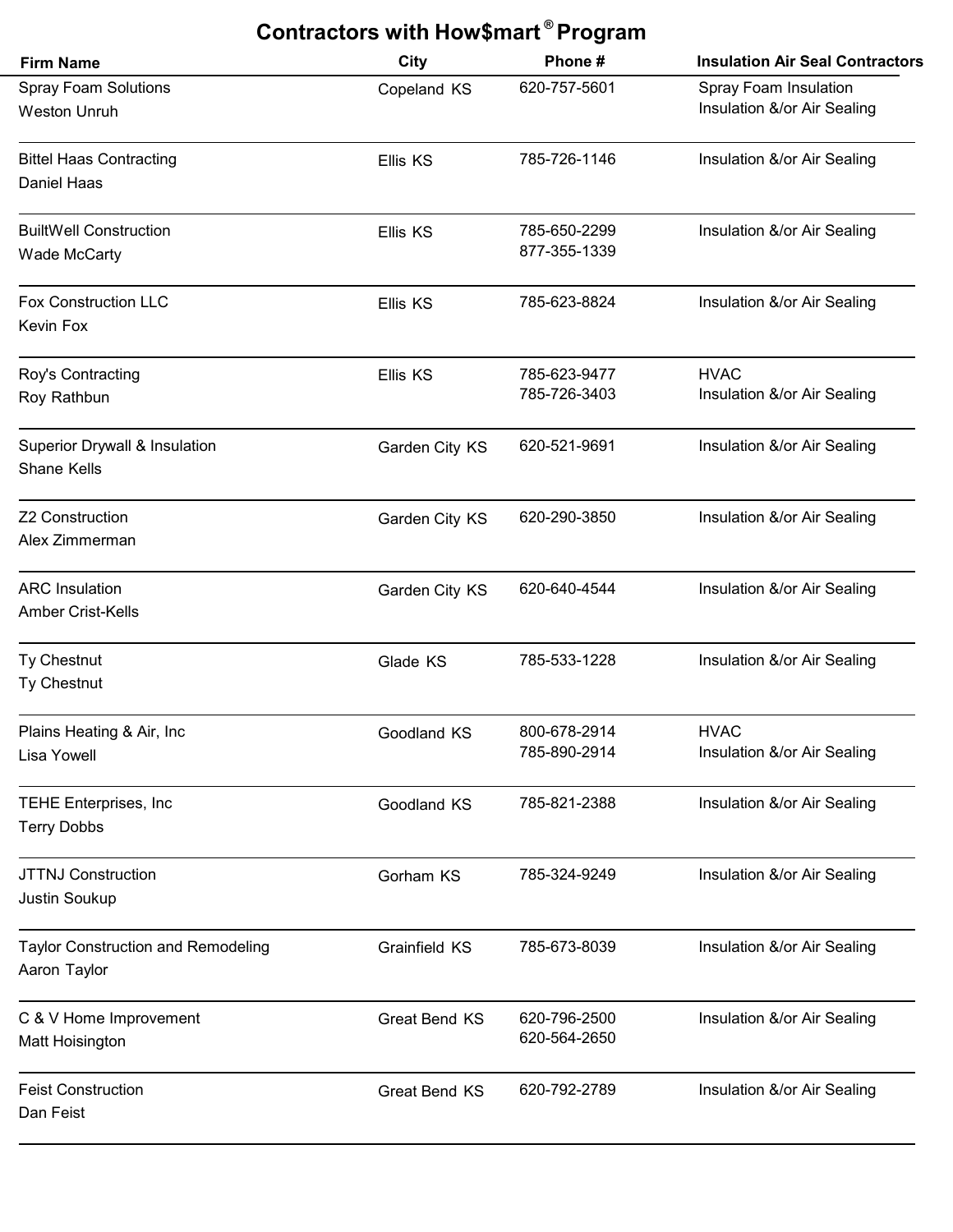| Contractors with How\$mart <sup>®</sup> Program           |                      |                              |                                                      |  |
|-----------------------------------------------------------|----------------------|------------------------------|------------------------------------------------------|--|
| <b>Firm Name</b>                                          | <b>City</b>          | Phone#                       | <b>Insulation Air Seal Contractors</b>               |  |
| <b>Spray Foam Solutions</b><br><b>Weston Unruh</b>        | Copeland KS          | 620-757-5601                 | Spray Foam Insulation<br>Insulation &/or Air Sealing |  |
| <b>Bittel Haas Contracting</b><br>Daniel Haas             | Ellis KS             | 785-726-1146                 | Insulation &/or Air Sealing                          |  |
| <b>BuiltWell Construction</b><br><b>Wade McCarty</b>      | Ellis KS             | 785-650-2299<br>877-355-1339 | Insulation &/or Air Sealing                          |  |
| <b>Fox Construction LLC</b><br><b>Kevin Fox</b>           | Ellis KS             | 785-623-8824                 | Insulation &/or Air Sealing                          |  |
| Roy's Contracting<br>Roy Rathbun                          | Ellis KS             | 785-623-9477<br>785-726-3403 | <b>HVAC</b><br>Insulation &/or Air Sealing           |  |
| <b>Superior Drywall &amp; Insulation</b><br>Shane Kells   | Garden City KS       | 620-521-9691                 | Insulation &/or Air Sealing                          |  |
| <b>Z2 Construction</b><br>Alex Zimmerman                  | Garden City KS       | 620-290-3850                 | Insulation &/or Air Sealing                          |  |
| <b>ARC</b> Insulation<br><b>Amber Crist-Kells</b>         | Garden City KS       | 620-640-4544                 | Insulation &/or Air Sealing                          |  |
| Ty Chestnut<br>Ty Chestnut                                | Glade KS             | 785-533-1228                 | Insulation &/or Air Sealing                          |  |
| Plains Heating & Air, Inc<br><b>Lisa Yowell</b>           | Goodland KS          | 800-678-2914<br>785-890-2914 | <b>HVAC</b><br>Insulation &/or Air Sealing           |  |
| <b>TEHE Enterprises, Inc</b><br><b>Terry Dobbs</b>        | Goodland KS          | 785-821-2388                 | Insulation &/or Air Sealing                          |  |
| <b>JTTNJ Construction</b><br>Justin Soukup                | Gorham KS            | 785-324-9249                 | Insulation &/or Air Sealing                          |  |
| <b>Taylor Construction and Remodeling</b><br>Aaron Taylor | Grainfield KS        | 785-673-8039                 | Insulation &/or Air Sealing                          |  |
| C & V Home Improvement<br>Matt Hoisington                 | <b>Great Bend KS</b> | 620-796-2500<br>620-564-2650 | Insulation &/or Air Sealing                          |  |
| <b>Feist Construction</b><br>Dan Feist                    | Great Bend KS        | 620-792-2789                 | Insulation &/or Air Sealing                          |  |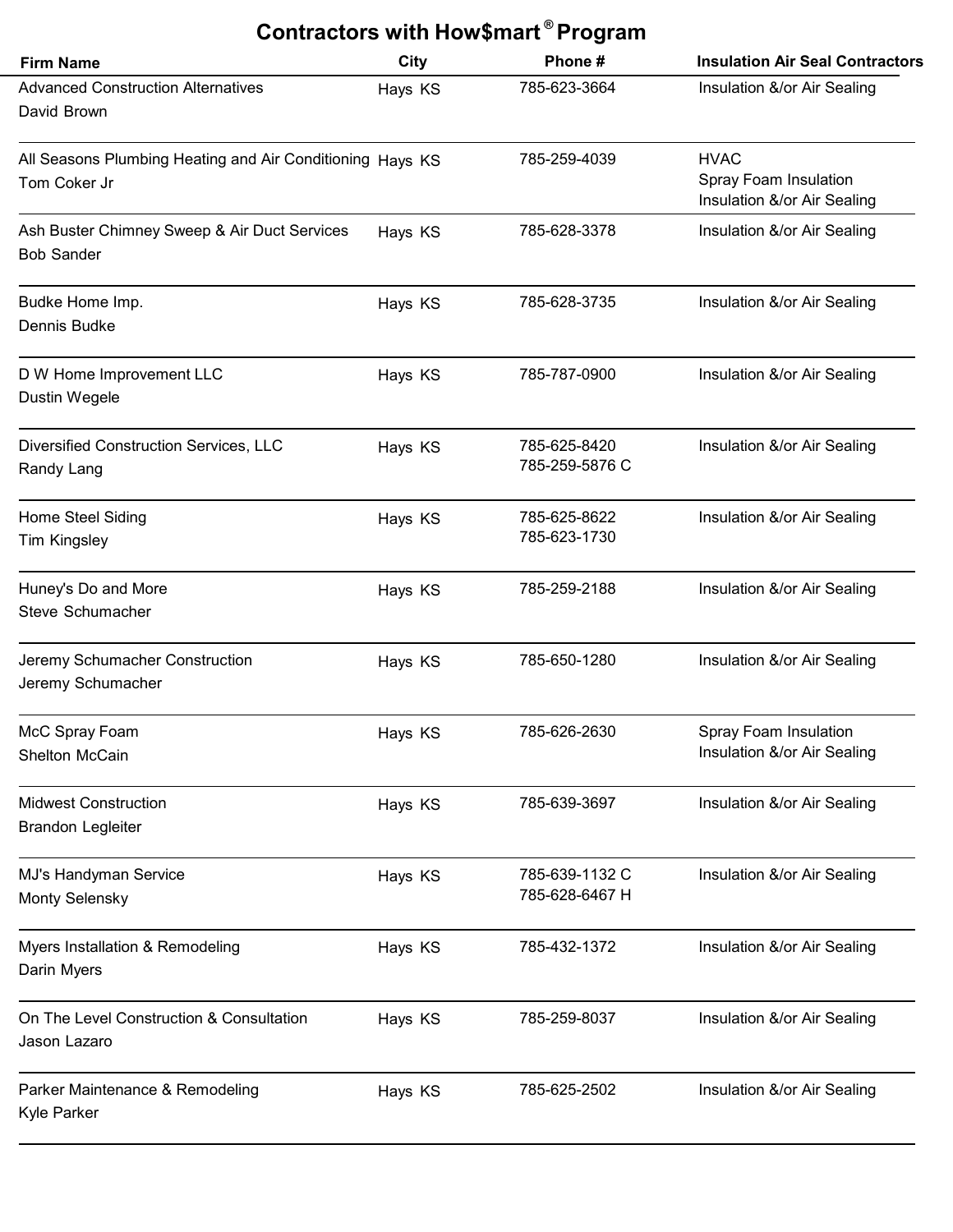| Contractors with How\$mart <sup>®</sup> Program                           |             |                                  |                                                                     |  |
|---------------------------------------------------------------------------|-------------|----------------------------------|---------------------------------------------------------------------|--|
| <b>Firm Name</b>                                                          | <b>City</b> | Phone#                           | <b>Insulation Air Seal Contractors</b>                              |  |
| <b>Advanced Construction Alternatives</b><br>David Brown                  | Hays KS     | 785-623-3664                     | Insulation &/or Air Sealing                                         |  |
| All Seasons Plumbing Heating and Air Conditioning Hays KS<br>Tom Coker Jr |             | 785-259-4039                     | <b>HVAC</b><br>Spray Foam Insulation<br>Insulation &/or Air Sealing |  |
| Ash Buster Chimney Sweep & Air Duct Services<br><b>Bob Sander</b>         | Hays KS     | 785-628-3378                     | Insulation &/or Air Sealing                                         |  |
| Budke Home Imp.<br>Dennis Budke                                           | Hays KS     | 785-628-3735                     | Insulation &/or Air Sealing                                         |  |
| D W Home Improvement LLC<br>Dustin Wegele                                 | Hays KS     | 785-787-0900                     | Insulation &/or Air Sealing                                         |  |
| Diversified Construction Services, LLC<br>Randy Lang                      | Hays KS     | 785-625-8420<br>785-259-5876 C   | Insulation &/or Air Sealing                                         |  |
| Home Steel Siding<br><b>Tim Kingsley</b>                                  | Hays KS     | 785-625-8622<br>785-623-1730     | Insulation &/or Air Sealing                                         |  |
| Huney's Do and More<br>Steve Schumacher                                   | Hays KS     | 785-259-2188                     | Insulation &/or Air Sealing                                         |  |
| Jeremy Schumacher Construction<br>Jeremy Schumacher                       | Hays KS     | 785-650-1280                     | Insulation &/or Air Sealing                                         |  |
| McC Spray Foam<br>Shelton McCain                                          | Hays KS     | 785-626-2630                     | Spray Foam Insulation<br>Insulation &/or Air Sealing                |  |
| <b>Midwest Construction</b><br><b>Brandon Legleiter</b>                   | Hays KS     | 785-639-3697                     | Insulation &/or Air Sealing                                         |  |
| MJ's Handyman Service<br><b>Monty Selensky</b>                            | Hays KS     | 785-639-1132 C<br>785-628-6467 H | Insulation &/or Air Sealing                                         |  |
| Myers Installation & Remodeling<br>Darin Myers                            | Hays KS     | 785-432-1372                     | Insulation &/or Air Sealing                                         |  |
| On The Level Construction & Consultation<br>Jason Lazaro                  | Hays KS     | 785-259-8037                     | Insulation &/or Air Sealing                                         |  |
| Parker Maintenance & Remodeling<br>Kyle Parker                            | Hays KS     | 785-625-2502                     | Insulation &/or Air Sealing                                         |  |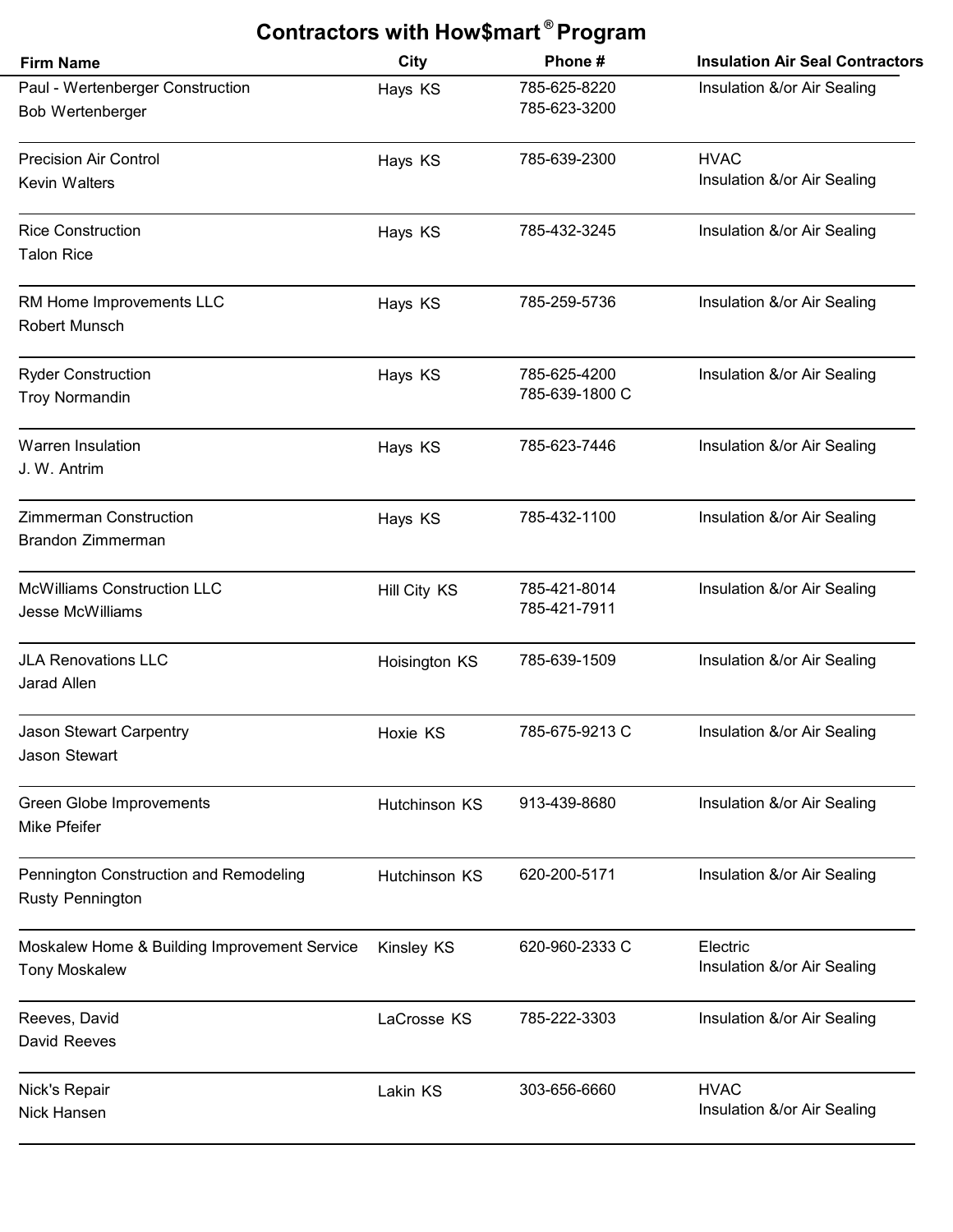| Contractors with How\$mart <sup>®</sup> Program                      |                   |                                |                                            |  |
|----------------------------------------------------------------------|-------------------|--------------------------------|--------------------------------------------|--|
| <b>Firm Name</b>                                                     | <b>City</b>       | Phone#                         | <b>Insulation Air Seal Contractors</b>     |  |
| Paul - Wertenberger Construction<br><b>Bob Wertenberger</b>          | Hays KS           | 785-625-8220<br>785-623-3200   | Insulation &/or Air Sealing                |  |
| <b>Precision Air Control</b><br><b>Kevin Walters</b>                 | Hays KS           | 785-639-2300                   | <b>HVAC</b><br>Insulation &/or Air Sealing |  |
| <b>Rice Construction</b><br><b>Talon Rice</b>                        | Hays KS           | 785-432-3245                   | Insulation &/or Air Sealing                |  |
| RM Home Improvements LLC<br><b>Robert Munsch</b>                     | Hays KS           | 785-259-5736                   | Insulation &/or Air Sealing                |  |
| <b>Ryder Construction</b><br><b>Troy Normandin</b>                   | Hays KS           | 785-625-4200<br>785-639-1800 C | Insulation &/or Air Sealing                |  |
| <b>Warren Insulation</b><br>J. W. Antrim                             | Hays KS           | 785-623-7446                   | Insulation &/or Air Sealing                |  |
| <b>Zimmerman Construction</b><br>Brandon Zimmerman                   | Hays KS           | 785-432-1100                   | Insulation &/or Air Sealing                |  |
| <b>McWilliams Construction LLC</b><br><b>Jesse McWilliams</b>        | Hill City KS      | 785-421-8014<br>785-421-7911   | Insulation &/or Air Sealing                |  |
| <b>JLA Renovations LLC</b><br>Jarad Allen                            | Hoisington KS     | 785-639-1509                   | Insulation &/or Air Sealing                |  |
| Jason Stewart Carpentry<br>Jason Stewart                             | Hoxie KS          | 785-675-9213 C                 | Insulation &/or Air Sealing                |  |
| Green Globe Improvements<br>Mike Pfeifer                             | Hutchinson KS     | 913-439-8680                   | Insulation &/or Air Sealing                |  |
| Pennington Construction and Remodeling<br><b>Rusty Pennington</b>    | Hutchinson KS     | 620-200-5171                   | Insulation &/or Air Sealing                |  |
| Moskalew Home & Building Improvement Service<br><b>Tony Moskalew</b> | <b>Kinsley KS</b> | 620-960-2333 C                 | Electric<br>Insulation &/or Air Sealing    |  |
| Reeves, David<br>David Reeves                                        | LaCrosse KS       | 785-222-3303                   | Insulation &/or Air Sealing                |  |
| Nick's Repair<br>Nick Hansen                                         | Lakin KS          | 303-656-6660                   | <b>HVAC</b><br>Insulation &/or Air Sealing |  |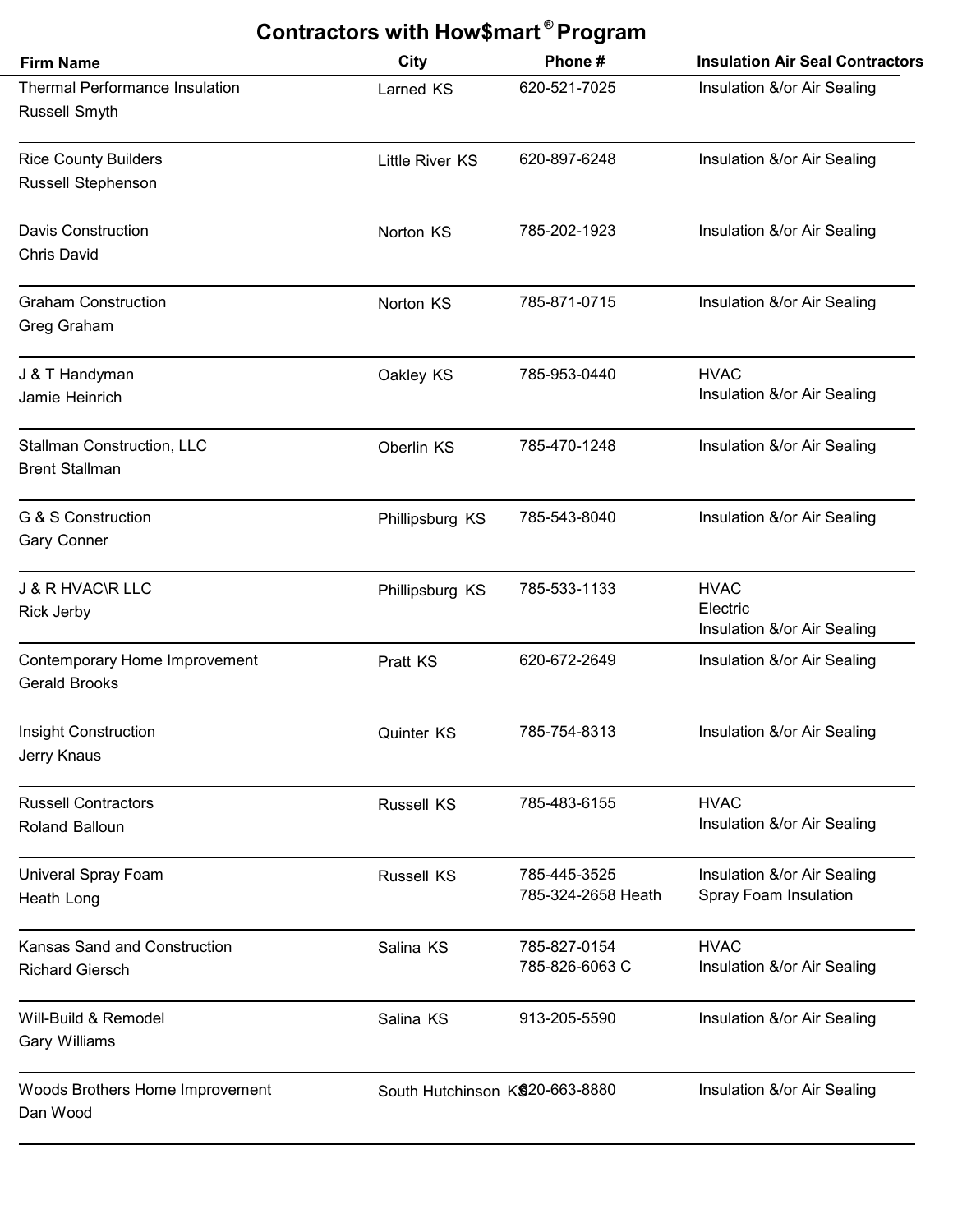| Contractors with How\$mart <sup>®</sup> Program            |                                 |                                    |                                                        |  |
|------------------------------------------------------------|---------------------------------|------------------------------------|--------------------------------------------------------|--|
| <b>Firm Name</b>                                           | City                            | Phone#                             | <b>Insulation Air Seal Contractors</b>                 |  |
| <b>Thermal Performance Insulation</b><br>Russell Smyth     | Larned KS                       | 620-521-7025                       | Insulation &/or Air Sealing                            |  |
| <b>Rice County Builders</b><br>Russell Stephenson          | <b>Little River KS</b>          | 620-897-6248                       | Insulation &/or Air Sealing                            |  |
| <b>Davis Construction</b><br><b>Chris David</b>            | Norton KS                       | 785-202-1923                       | Insulation &/or Air Sealing                            |  |
| <b>Graham Construction</b><br>Greg Graham                  | Norton KS                       | 785-871-0715                       | Insulation &/or Air Sealing                            |  |
| J & T Handyman<br>Jamie Heinrich                           | Oakley KS                       | 785-953-0440                       | <b>HVAC</b><br>Insulation &/or Air Sealing             |  |
| <b>Stallman Construction, LLC</b><br><b>Brent Stallman</b> | Oberlin KS                      | 785-470-1248                       | Insulation &/or Air Sealing                            |  |
| G & S Construction<br><b>Gary Conner</b>                   | Phillipsburg KS                 | 785-543-8040                       | Insulation &/or Air Sealing                            |  |
| <b>J &amp; R HVAC\R LLC</b><br><b>Rick Jerby</b>           | Phillipsburg KS                 | 785-533-1133                       | <b>HVAC</b><br>Electric<br>Insulation &/or Air Sealing |  |
| Contemporary Home Improvement<br><b>Gerald Brooks</b>      | <b>Pratt KS</b>                 | 620-672-2649                       | Insulation &/or Air Sealing                            |  |
| Insight Construction<br>Jerry Knaus                        | Quinter KS                      | 785-754-8313                       | Insulation &/or Air Sealing                            |  |
| <b>Russell Contractors</b><br>Roland Balloun               | <b>Russell KS</b>               | 785-483-6155                       | <b>HVAC</b><br>Insulation &/or Air Sealing             |  |
| Univeral Spray Foam<br>Heath Long                          | <b>Russell KS</b>               | 785-445-3525<br>785-324-2658 Heath | Insulation &/or Air Sealing<br>Spray Foam Insulation   |  |
| Kansas Sand and Construction<br><b>Richard Giersch</b>     | Salina KS                       | 785-827-0154<br>785-826-6063 C     | <b>HVAC</b><br>Insulation &/or Air Sealing             |  |
| Will-Build & Remodel<br><b>Gary Williams</b>               | Salina KS                       | 913-205-5590                       | Insulation &/or Air Sealing                            |  |
| Woods Brothers Home Improvement<br>Dan Wood                | South Hutchinson K\$20-663-8880 |                                    | Insulation &/or Air Sealing                            |  |